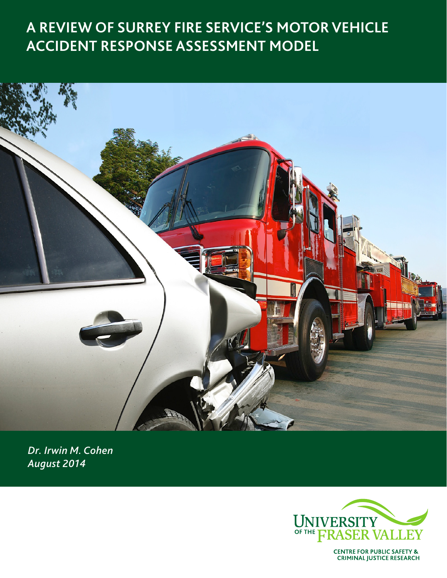# **A REVIEW OF SURREY FIRE SERVICE'S MOTOR VEHICLE ACCIDENT RESPONSE ASSESSMENT MODEL**



*Dr. Irwin M. Cohen August 2014*



**CENTRE FOR PUBLIC SAFETY &<br>CRIMINAL JUSTICE RESEARCH**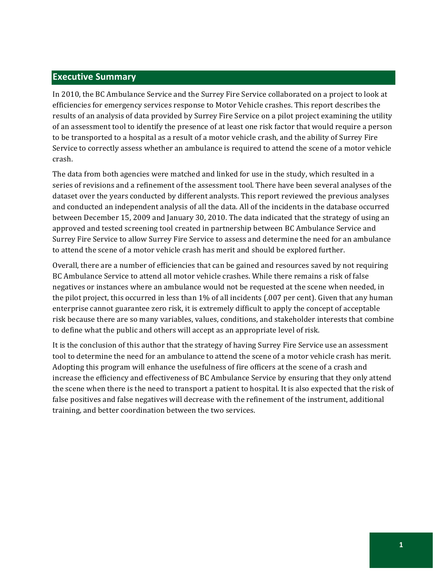# **Executive Summary**

In 2010, the BC Ambulance Service and the Surrey Fire Service collaborated on a project to look at efficiencies for emergency services response to Motor Vehicle crashes. This report describes the results of an analysis of data provided by Surrey Fire Service on a pilot project examining the utility of an assessment tool to identify the presence of at least one risk factor that would require a person to be transported to a hospital as a result of a motor vehicle crash, and the ability of Surrey Fire Service to correctly assess whether an ambulance is required to attend the scene of a motor vehicle crash.!

The data from both agencies were matched and linked for use in the study, which resulted in a series of revisions and a refinement of the assessment tool. There have been several analyses of the dataset over the years conducted by different analysts. This report reviewed the previous analyses and conducted an independent analysis of all the data. All of the incidents in the database occurred between December 15, 2009 and January 30, 2010. The data indicated that the strategy of using an approved and tested screening tool created in partnership between BC Ambulance Service and Surrey Fire Service to allow Surrey Fire Service to assess and determine the need for an ambulance to attend the scene of a motor vehicle crash has merit and should be explored further.

Overall, there are a number of efficiencies that can be gained and resources saved by not requiring BC Ambulance Service to attend all motor vehicle crashes. While there remains a risk of false negatives or instances where an ambulance would not be requested at the scene when needed, in the pilot project, this occurred in less than  $1\%$  of all incidents (.007 per cent). Given that any human enterprise cannot guarantee zero risk, it is extremely difficult to apply the concept of acceptable risk because there are so many variables, values, conditions, and stakeholder interests that combine to define what the public and others will accept as an appropriate level of risk.

It is the conclusion of this author that the strategy of having Surrey Fire Service use an assessment tool to determine the need for an ambulance to attend the scene of a motor vehicle crash has merit. Adopting this program will enhance the usefulness of fire officers at the scene of a crash and increase the efficiency and effectiveness of BC Ambulance Service by ensuring that they only attend the scene when there is the need to transport a patient to hospital. It is also expected that the risk of false positives and false negatives will decrease with the refinement of the instrument, additional training, and better coordination between the two services.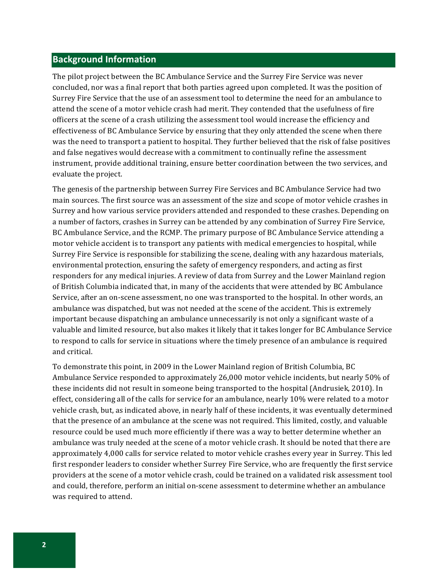## **Background Information**

The pilot project between the BC Ambulance Service and the Surrey Fire Service was never concluded, nor was a final report that both parties agreed upon completed. It was the position of Surrey Fire Service that the use of an assessment tool to determine the need for an ambulance to attend the scene of a motor vehicle crash had merit. They contended that the usefulness of fire officers at the scene of a crash utilizing the assessment tool would increase the efficiency and effectiveness of BC Ambulance Service by ensuring that they only attended the scene when there was the need to transport a patient to hospital. They further believed that the risk of false positives and false negatives would decrease with a commitment to continually refine the assessment instrument, provide additional training, ensure better coordination between the two services, and evaluate the project.

The genesis of the partnership between Surrey Fire Services and BC Ambulance Service had two main sources. The first source was an assessment of the size and scope of motor vehicle crashes in Surrey and how various service providers attended and responded to these crashes. Depending on a number of factors, crashes in Surrey can be attended by any combination of Surrey Fire Service, BC Ambulance Service, and the RCMP. The primary purpose of BC Ambulance Service attending a motor vehicle accident is to transport any patients with medical emergencies to hospital, while Surrey Fire Service is responsible for stabilizing the scene, dealing with any hazardous materials, environmental protection, ensuring the safety of emergency responders, and acting as first responders for any medical injuries. A review of data from Surrey and the Lower Mainland region of British Columbia indicated that, in many of the accidents that were attended by BC Ambulance Service, after an on-scene assessment, no one was transported to the hospital. In other words, an ambulance was dispatched, but was not needed at the scene of the accident. This is extremely important because dispatching an ambulance unnecessarily is not only a significant waste of a valuable and limited resource, but also makes it likely that it takes longer for BC Ambulance Service to respond to calls for service in situations where the timely presence of an ambulance is required and critical.

To demonstrate this point, in 2009 in the Lower Mainland region of British Columbia, BC Ambulance Service responded to approximately 26,000 motor vehicle incidents, but nearly 50% of these incidents did not result in someone being transported to the hospital (Andrusiek, 2010). In effect, considering all of the calls for service for an ambulance, nearly 10% were related to a motor vehicle crash, but, as indicated above, in nearly half of these incidents, it was eventually determined that the presence of an ambulance at the scene was not required. This limited, costly, and valuable resource could be used much more efficiently if there was a way to better determine whether an ambulance was truly needed at the scene of a motor vehicle crash. It should be noted that there are approximately 4,000 calls for service related to motor vehicle crashes every year in Surrey. This led first responder leaders to consider whether Surrey Fire Service, who are frequently the first service providers at the scene of a motor vehicle crash, could be trained on a validated risk assessment tool and could, therefore, perform an initial on-scene assessment to determine whether an ambulance was required to attend.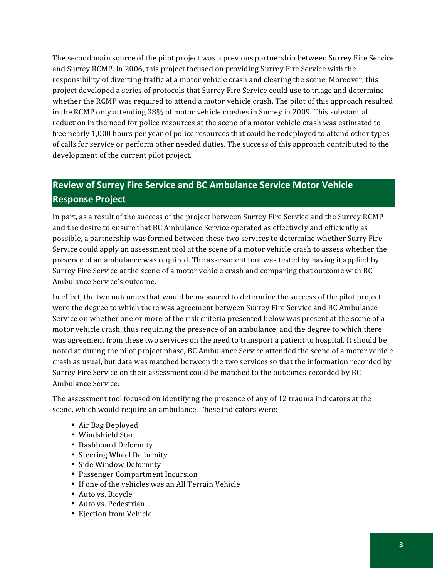The second main source of the pilot project was a previous partnership between Surrey Fire Service and Surrey RCMP. In 2006, this project focused on providing Surrey Fire Service with the responsibility of diverting traffic at a motor vehicle crash and clearing the scene. Moreover, this project developed a series of protocols that Surrey Fire Service could use to triage and determine whether the RCMP was required to attend a motor vehicle crash. The pilot of this approach resulted in the RCMP only attending 38% of motor vehicle crashes in Surrey in 2009. This substantial reduction in the need for police resources at the scene of a motor vehicle crash was estimated to free nearly 1,000 hours per year of police resources that could be redeployed to attend other types of calls for service or perform other needed duties. The success of this approach contributed to the development of the current pilot project.

# **Review of Surrey Fire Service and BC Ambulance Service Motor Vehicle Response Project**

In part, as a result of the success of the project between Surrey Fire Service and the Surrey RCMP and the desire to ensure that BC Ambulance Service operated as effectively and efficiently as possible, a partnership was formed between these two services to determine whether Surry Fire Service could apply an assessment tool at the scene of a motor vehicle crash to assess whether the presence of an ambulance was required. The assessment tool was tested by having it applied by Surrey Fire Service at the scene of a motor vehicle crash and comparing that outcome with BC Ambulance Service's outcome.

In effect, the two outcomes that would be measured to determine the success of the pilot project were the degree to which there was agreement between Surrey Fire Service and BC Ambulance Service on whether one or more of the risk criteria presented below was present at the scene of a motor vehicle crash, thus requiring the presence of an ambulance, and the degree to which there was agreement from these two services on the need to transport a patient to hospital. It should be noted at during the pilot project phase, BC Ambulance Service attended the scene of a motor vehicle crash as usual, but data was matched between the two services so that the information recorded by Surrey Fire Service on their assessment could be matched to the outcomes recorded by BC Ambulance Service.

The assessment tool focused on identifying the presence of any of 12 trauma indicators at the scene, which would require an ambulance. These indicators were:

- Air Bag Deployed
- Windshield Star
- Dashboard Deformity
- Steering Wheel Deformity
- Side Window Deformity
- Passenger Compartment Incursion
- If one of the vehicles was an All Terrain Vehicle
- Auto vs. Bicycle
- Auto vs. Pedestrian
- Ejection from Vehicle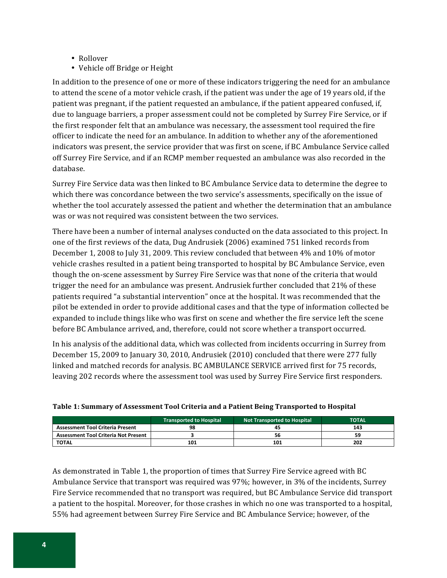- Rollover
- Vehicle off Bridge or Height

In addition to the presence of one or more of these indicators triggering the need for an ambulance to attend the scene of a motor vehicle crash, if the patient was under the age of 19 years old, if the patient was pregnant, if the patient requested an ambulance, if the patient appeared confused, if, due to language barriers, a proper assessment could not be completed by Surrey Fire Service, or if the first responder felt that an ambulance was necessary, the assessment tool required the fire officer to indicate the need for an ambulance. In addition to whether any of the aforementioned indicators was present, the service provider that was first on scene, if BC Ambulance Service called off Surrey Fire Service, and if an RCMP member requested an ambulance was also recorded in the database.

Surrey Fire Service data was then linked to BC Ambulance Service data to determine the degree to which there was concordance between the two service's assessments, specifically on the issue of whether the tool accurately assessed the patient and whether the determination that an ambulance was or was not required was consistent between the two services.

There have been a number of internal analyses conducted on the data associated to this project. In one of the first reviews of the data, Dug Andrusiek (2006) examined 751 linked records from December 1, 2008 to July 31, 2009. This review concluded that between 4% and 10% of motor vehicle crashes resulted in a patient being transported to hospital by BC Ambulance Service, even though the on-scene assessment by Surrey Fire Service was that none of the criteria that would trigger the need for an ambulance was present. Andrusiek further concluded that 21% of these patients required "a substantial intervention" once at the hospital. It was recommended that the pilot be extended in order to provide additional cases and that the type of information collected be expanded to include things like who was first on scene and whether the fire service left the scene before BC Ambulance arrived, and, therefore, could not score whether a transport occurred.

In his analysis of the additional data, which was collected from incidents occurring in Surrey from December 15, 2009 to January 30, 2010, Andrusiek (2010) concluded that there were 277 fully linked and matched records for analysis. BC AMBULANCE SERVICE arrived first for 75 records, leaving 202 records where the assessment tool was used by Surrey Fire Service first responders.

|                                             | <b>Transported to Hospital</b> | Not Transported to Hospital | <b>TOTAL</b> |
|---------------------------------------------|--------------------------------|-----------------------------|--------------|
| <b>Assessment Tool Criteria Present</b>     | 98                             |                             | 143          |
| <b>Assessment Tool Criteria Not Present</b> |                                |                             |              |
| <b>TOTAL</b>                                | 101                            | 101                         | 202          |

| Table 1: Summary of Assessment Tool Criteria and a Patient Being Transported to Hospital |  |  |
|------------------------------------------------------------------------------------------|--|--|
|                                                                                          |  |  |
|                                                                                          |  |  |

As demonstrated in Table 1, the proportion of times that Surrey Fire Service agreed with BC Ambulance Service that transport was required was 97%; however, in 3% of the incidents, Surrey Fire Service recommended that no transport was required, but BC Ambulance Service did transport a patient to the hospital. Moreover, for those crashes in which no one was transported to a hospital, 55% had agreement between Surrey Fire Service and BC Ambulance Service; however, of the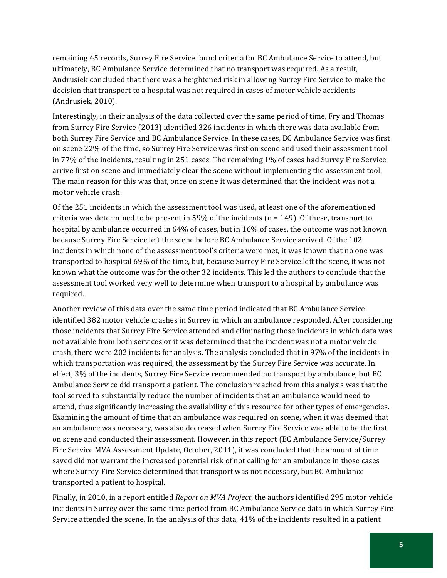remaining 45 records, Surrey Fire Service found criteria for BC Ambulance Service to attend, but ultimately, BC Ambulance Service determined that no transport was required. As a result, Andrusiek concluded that there was a heightened risk in allowing Surrey Fire Service to make the decision that transport to a hospital was not required in cases of motor vehicle accidents (Andrusiek, 2010).

Interestingly, in their analysis of the data collected over the same period of time, Fry and Thomas from Surrey Fire Service (2013) identified 326 incidents in which there was data available from both Surrey Fire Service and BC Ambulance Service. In these cases, BC Ambulance Service was first on scene 22% of the time, so Surrey Fire Service was first on scene and used their assessment tool in 77% of the incidents, resulting in 251 cases. The remaining  $1\%$  of cases had Surrey Fire Service arrive first on scene and immediately clear the scene without implementing the assessment tool. The main reason for this was that, once on scene it was determined that the incident was not a motor vehicle crash.

Of the 251 incidents in which the assessment tool was used, at least one of the aforementioned criteria was determined to be present in 59% of the incidents (n = 149). Of these, transport to hospital by ambulance occurred in 64% of cases, but in 16% of cases, the outcome was not known because Surrey Fire Service left the scene before BC Ambulance Service arrived. Of the 102 incidents in which none of the assessment tool's criteria were met, it was known that no one was transported to hospital 69% of the time, but, because Surrey Fire Service left the scene, it was not known what the outcome was for the other 32 incidents. This led the authors to conclude that the assessment tool worked very well to determine when transport to a hospital by ambulance was required.

Another review of this data over the same time period indicated that BC Ambulance Service identified 382 motor vehicle crashes in Surrey in which an ambulance responded. After considering those incidents that Surrey Fire Service attended and eliminating those incidents in which data was not available from both services or it was determined that the incident was not a motor vehicle crash, there were 202 incidents for analysis. The analysis concluded that in 97% of the incidents in which transportation was required, the assessment by the Surrey Fire Service was accurate. In effect, 3% of the incidents, Surrey Fire Service recommended no transport by ambulance, but BC Ambulance Service did transport a patient. The conclusion reached from this analysis was that the tool served to substantially reduce the number of incidents that an ambulance would need to attend, thus significantly increasing the availability of this resource for other types of emergencies. Examining the amount of time that an ambulance was required on scene, when it was deemed that an ambulance was necessary, was also decreased when Surrey Fire Service was able to be the first on scene and conducted their assessment. However, in this report (BC Ambulance Service/Surrey Fire Service MVA Assessment Update, October, 2011), it was concluded that the amount of time saved did not warrant the increased potential risk of not calling for an ambulance in those cases where Surrey Fire Service determined that transport was not necessary, but BC Ambulance transported a patient to hospital.

Finally, in 2010, in a report entitled *Report on MVA Project*, the authors identified 295 motor vehicle incidents in Surrey over the same time period from BC Ambulance Service data in which Surrey Fire Service attended the scene. In the analysis of this data, 41% of the incidents resulted in a patient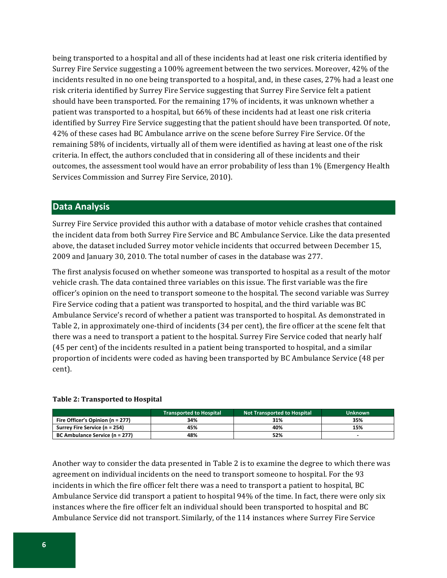being transported to a hospital and all of these incidents had at least one risk criteria identified by Surrey Fire Service suggesting a 100% agreement between the two services. Moreover, 42% of the incidents resulted in no one being transported to a hospital, and, in these cases, 27% had a least one risk criteria identified by Surrey Fire Service suggesting that Surrey Fire Service felt a patient should have been transported. For the remaining 17% of incidents, it was unknown whether a patient was transported to a hospital, but 66% of these incidents had at least one risk criteria identified by Surrey Fire Service suggesting that the patient should have been transported. Of note, 42% of these cases had BC Ambulance arrive on the scene before Surrey Fire Service. Of the remaining 58% of incidents, virtually all of them were identified as having at least one of the risk criteria. In effect, the authors concluded that in considering all of these incidents and their outcomes, the assessment tool would have an error probability of less than 1% (Emergency Health Services Commission and Surrey Fire Service, 2010).

# **Data"Analysis**

Surrey Fire Service provided this author with a database of motor vehicle crashes that contained the incident data from both Surrey Fire Service and BC Ambulance Service. Like the data presented above, the dataset included Surrey motor vehicle incidents that occurred between December 15, 2009 and January 30, 2010. The total number of cases in the database was 277.

The first analysis focused on whether someone was transported to hospital as a result of the motor vehicle crash. The data contained three variables on this issue. The first variable was the fire officer's opinion on the need to transport someone to the hospital. The second variable was Surrey Fire Service coding that a patient was transported to hospital, and the third variable was BC Ambulance Service's record of whether a patient was transported to hospital. As demonstrated in Table 2, in approximately one-third of incidents (34 per cent), the fire officer at the scene felt that there was a need to transport a patient to the hospital. Surrey Fire Service coded that nearly half (45 per cent) of the incidents resulted in a patient being transported to hospital, and a similar proportion of incidents were coded as having been transported by BC Ambulance Service (48 per cent).

#### Table 2: Transported to Hospital

|                                  | <b>Transported to Hospital</b> | <b>Not Transported to Hospital</b> | <b>Unknown</b> |
|----------------------------------|--------------------------------|------------------------------------|----------------|
| Fire Officer's Opinion (n = 277) | 34%                            | 31%                                | 35%            |
| Surrey Fire Service (n = 254)    | 45%                            | 40%                                | 15%            |
| BC Ambulance Service (n = 277)   | 48%                            | 52%                                |                |

Another way to consider the data presented in Table 2 is to examine the degree to which there was agreement on individual incidents on the need to transport someone to hospital. For the 93 incidents in which the fire officer felt there was a need to transport a patient to hospital, BC Ambulance Service did transport a patient to hospital 94% of the time. In fact, there were only six instances where the fire officer felt an individual should been transported to hospital and BC Ambulance Service did not transport. Similarly, of the 114 instances where Surrey Fire Service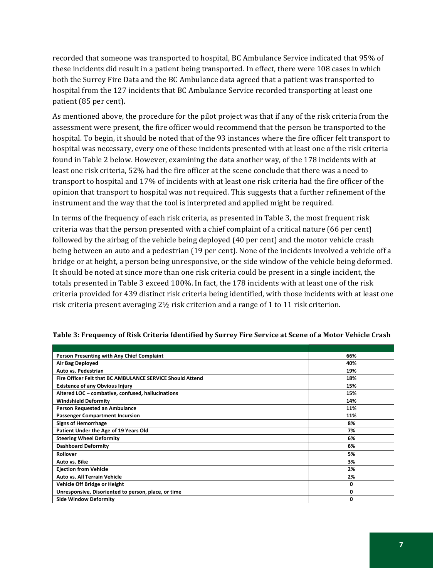recorded that someone was transported to hospital, BC Ambulance Service indicated that 95% of these incidents did result in a patient being transported. In effect, there were 108 cases in which both the Surrey Fire Data and the BC Ambulance data agreed that a patient was transported to hospital from the 127 incidents that BC Ambulance Service recorded transporting at least one patient (85 per cent).

As mentioned above, the procedure for the pilot project was that if any of the risk criteria from the assessment were present, the fire officer would recommend that the person be transported to the hospital. To begin, it should be noted that of the 93 instances where the fire officer felt transport to hospital was necessary, every one of these incidents presented with at least one of the risk criteria found in Table 2 below. However, examining the data another way, of the 178 incidents with at least one risk criteria, 52% had the fire officer at the scene conclude that there was a need to transport to hospital and 17% of incidents with at least one risk criteria had the fire officer of the opinion that transport to hospital was not required. This suggests that a further refinement of the instrument and the way that the tool is interpreted and applied might be required.

In terms of the frequency of each risk criteria, as presented in Table 3, the most frequent risk criteria was that the person presented with a chief complaint of a critical nature (66 per cent) followed by the airbag of the vehicle being deployed (40 per cent) and the motor vehicle crash being between an auto and a pedestrian (19 per cent). None of the incidents involved a vehicle off a bridge or at height, a person being unresponsive, or the side window of the vehicle being deformed. It should be noted at since more than one risk criteria could be present in a single incident, the totals presented in Table 3 exceed 100%. In fact, the 178 incidents with at least one of the risk criteria provided for 439 distinct risk criteria being identified, with those incidents with at least one risk criteria present averaging  $2\frac{1}{2}$  risk criterion and a range of 1 to 11 risk criterion.

| Person Presenting with Any Chief Complaint                | 66% |
|-----------------------------------------------------------|-----|
| Air Bag Deployed                                          | 40% |
| Auto vs. Pedestrian                                       | 19% |
| Fire Officer Felt that BC AMBULANCE SERVICE Should Attend | 18% |
| <b>Existence of any Obvious Injury</b>                    | 15% |
| Altered LOC - combative, confused, hallucinations         | 15% |
| <b>Windshield Deformity</b>                               | 14% |
| Person Requested an Ambulance                             | 11% |
| <b>Passenger Compartment Incursion</b>                    | 11% |
| <b>Signs of Hemorrhage</b>                                | 8%  |
| Patient Under the Age of 19 Years Old                     | 7%  |
| <b>Steering Wheel Deformity</b>                           | 6%  |
| <b>Dashboard Deformity</b>                                | 6%  |
| Rollover                                                  | 5%  |
| Auto vs. Bike                                             | 3%  |
| <b>Ejection from Vehicle</b>                              | 2%  |
| Auto vs. All Terrain Vehicle                              | 2%  |
| Vehicle Off Bridge or Height                              | 0   |
| Unresponsive, Disoriented to person, place, or time       | 0   |
| <b>Side Window Deformity</b>                              | O   |

#### Table 3: Frequency of Risk Criteria Identified by Surrey Fire Service at Scene of a Motor Vehicle Crash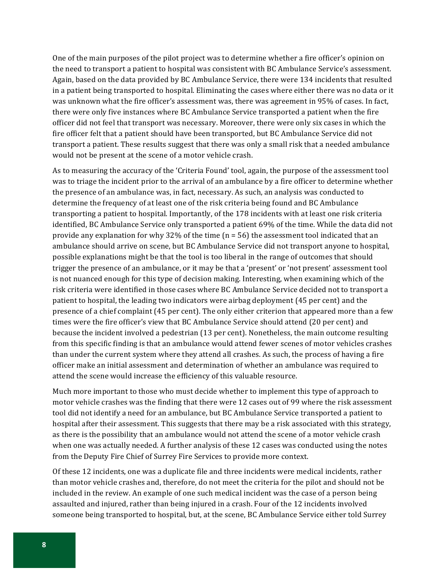One of the main purposes of the pilot project was to determine whether a fire officer's opinion on the need to transport a patient to hospital was consistent with BC Ambulance Service's assessment. Again, based on the data provided by BC Ambulance Service, there were 134 incidents that resulted in a patient being transported to hospital. Eliminating the cases where either there was no data or it was unknown what the fire officer's assessment was, there was agreement in 95% of cases. In fact, there were only five instances where BC Ambulance Service transported a patient when the fire officer did not feel that transport was necessary. Moreover, there were only six cases in which the fire officer felt that a patient should have been transported, but BC Ambulance Service did not transport a patient. These results suggest that there was only a small risk that a needed ambulance would not be present at the scene of a motor vehicle crash.

As to measuring the accuracy of the 'Criteria Found' tool, again, the purpose of the assessment tool was to triage the incident prior to the arrival of an ambulance by a fire officer to determine whether the presence of an ambulance was, in fact, necessary. As such, an analysis was conducted to determine the frequency of at least one of the risk criteria being found and BC Ambulance transporting a patient to hospital. Importantly, of the 178 incidents with at least one risk criteria identified, BC Ambulance Service only transported a patient 69% of the time. While the data did not provide any explanation for why 32% of the time (n = 56) the assessment tool indicated that an ambulance should arrive on scene, but BC Ambulance Service did not transport anyone to hospital, possible explanations might be that the tool is too liberal in the range of outcomes that should trigger the presence of an ambulance, or it may be that a 'present' or 'not present' assessment tool is not nuanced enough for this type of decision making. Interesting, when examining which of the risk criteria were identified in those cases where BC Ambulance Service decided not to transport a patient to hospital, the leading two indicators were airbag deployment (45 per cent) and the presence of a chief complaint (45 per cent). The only either criterion that appeared more than a few times were the fire officer's view that BC Ambulance Service should attend (20 per cent) and because the incident involved a pedestrian (13 per cent). Nonetheless, the main outcome resulting from this specific finding is that an ambulance would attend fewer scenes of motor vehicles crashes than under the current system where they attend all crashes. As such, the process of having a fire officer make an initial assessment and determination of whether an ambulance was required to attend the scene would increase the efficiency of this valuable resource.

Much more important to those who must decide whether to implement this type of approach to motor vehicle crashes was the finding that there were 12 cases out of 99 where the risk assessment tool did not identify a need for an ambulance, but BC Ambulance Service transported a patient to hospital after their assessment. This suggests that there may be a risk associated with this strategy, as there is the possibility that an ambulance would not attend the scene of a motor vehicle crash when one was actually needed. A further analysis of these 12 cases was conducted using the notes from the Deputy Fire Chief of Surrey Fire Services to provide more context.

Of these 12 incidents, one was a duplicate file and three incidents were medical incidents, rather than motor vehicle crashes and, therefore, do not meet the criteria for the pilot and should not be included in the review. An example of one such medical incident was the case of a person being assaulted and injured, rather than being injured in a crash. Four of the 12 incidents involved someone being transported to hospital, but, at the scene, BC Ambulance Service either told Surrey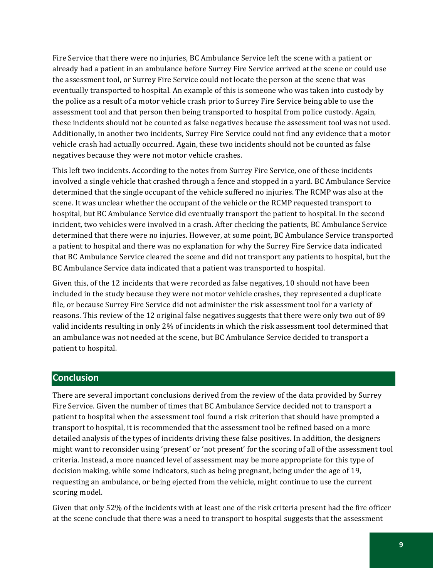Fire Service that there were no injuries, BC Ambulance Service left the scene with a patient or already had a patient in an ambulance before Surrey Fire Service arrived at the scene or could use the assessment tool, or Surrey Fire Service could not locate the person at the scene that was eventually transported to hospital. An example of this is someone who was taken into custody by the police as a result of a motor vehicle crash prior to Surrey Fire Service being able to use the assessment tool and that person then being transported to hospital from police custody. Again, these incidents should not be counted as false negatives because the assessment tool was not used. Additionally, in another two incidents, Surrey Fire Service could not find any evidence that a motor vehicle crash had actually occurred. Again, these two incidents should not be counted as false negatives because they were not motor vehicle crashes.

This left two incidents. According to the notes from Surrey Fire Service, one of these incidents involved a single vehicle that crashed through a fence and stopped in a yard. BC Ambulance Service determined that the single occupant of the vehicle suffered no injuries. The RCMP was also at the scene. It was unclear whether the occupant of the vehicle or the RCMP requested transport to hospital, but BC Ambulance Service did eventually transport the patient to hospital. In the second incident, two vehicles were involved in a crash. After checking the patients, BC Ambulance Service determined that there were no injuries. However, at some point, BC Ambulance Service transported a patient to hospital and there was no explanation for why the Surrey Fire Service data indicated that BC Ambulance Service cleared the scene and did not transport any patients to hospital, but the BC Ambulance Service data indicated that a patient was transported to hospital.

Given this, of the 12 incidents that were recorded as false negatives, 10 should not have been included in the study because they were not motor vehicle crashes, they represented a duplicate file, or because Surrey Fire Service did not administer the risk assessment tool for a variety of reasons. This review of the 12 original false negatives suggests that there were only two out of 89 valid incidents resulting in only 2% of incidents in which the risk assessment tool determined that an ambulance was not needed at the scene, but BC Ambulance Service decided to transport a patient to hospital.

## **Conclusion**

There are several important conclusions derived from the review of the data provided by Surrey Fire Service. Given the number of times that BC Ambulance Service decided not to transport a patient to hospital when the assessment tool found a risk criterion that should have prompted a transport to hospital, it is recommended that the assessment tool be refined based on a more detailed analysis of the types of incidents driving these false positives. In addition, the designers might want to reconsider using 'present' or 'not present' for the scoring of all of the assessment tool criteria. Instead, a more nuanced level of assessment may be more appropriate for this type of decision making, while some indicators, such as being pregnant, being under the age of 19, requesting an ambulance, or being ejected from the vehicle, might continue to use the current scoring model.

Given that only 52% of the incidents with at least one of the risk criteria present had the fire officer at the scene conclude that there was a need to transport to hospital suggests that the assessment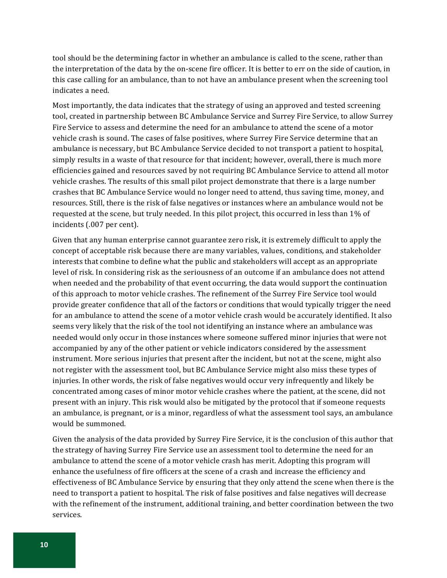tool should be the determining factor in whether an ambulance is called to the scene, rather than the interpretation of the data by the on-scene fire officer. It is better to err on the side of caution, in this case calling for an ambulance, than to not have an ambulance present when the screening tool indicates a need.

Most importantly, the data indicates that the strategy of using an approved and tested screening tool, created in partnership between BC Ambulance Service and Surrey Fire Service, to allow Surrey Fire Service to assess and determine the need for an ambulance to attend the scene of a motor vehicle crash is sound. The cases of false positives, where Surrey Fire Service determine that an ambulance is necessary, but BC Ambulance Service decided to not transport a patient to hospital, simply results in a waste of that resource for that incident; however, overall, there is much more efficiencies gained and resources saved by not requiring BC Ambulance Service to attend all motor vehicle crashes. The results of this small pilot project demonstrate that there is a large number crashes that BC Ambulance Service would no longer need to attend, thus saving time, money, and resources. Still, there is the risk of false negatives or instances where an ambulance would not be requested at the scene, but truly needed. In this pilot project, this occurred in less than 1% of incidents (.007 per cent).

Given that any human enterprise cannot guarantee zero risk, it is extremely difficult to apply the concept of acceptable risk because there are many variables, values, conditions, and stakeholder interests that combine to define what the public and stakeholders will accept as an appropriate level of risk. In considering risk as the seriousness of an outcome if an ambulance does not attend when needed and the probability of that event occurring, the data would support the continuation of this approach to motor vehicle crashes. The refinement of the Surrey Fire Service tool would provide greater confidence that all of the factors or conditions that would typically trigger the need for an ambulance to attend the scene of a motor vehicle crash would be accurately identified. It also seems very likely that the risk of the tool not identifying an instance where an ambulance was needed would only occur in those instances where someone suffered minor injuries that were not accompanied by any of the other patient or vehicle indicators considered by the assessment instrument. More serious injuries that present after the incident, but not at the scene, might also not register with the assessment tool, but BC Ambulance Service might also miss these types of injuries. In other words, the risk of false negatives would occur very infrequently and likely be concentrated among cases of minor motor vehicle crashes where the patient, at the scene, did not present with an injury. This risk would also be mitigated by the protocol that if someone requests an ambulance, is pregnant, or is a minor, regardless of what the assessment tool says, an ambulance would be summoned.

Given the analysis of the data provided by Surrey Fire Service, it is the conclusion of this author that the strategy of having Surrey Fire Service use an assessment tool to determine the need for an ambulance to attend the scene of a motor vehicle crash has merit. Adopting this program will enhance the usefulness of fire officers at the scene of a crash and increase the efficiency and effectiveness of BC Ambulance Service by ensuring that they only attend the scene when there is the need to transport a patient to hospital. The risk of false positives and false negatives will decrease with the refinement of the instrument, additional training, and better coordination between the two services.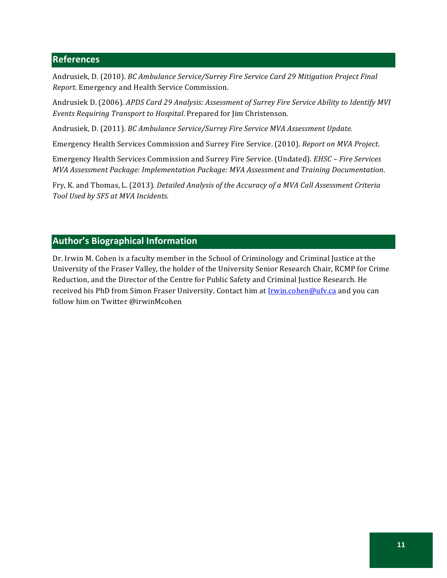# **References**

Andrusiek,!D.!(2010).!*BC'Ambulance'Service/Surrey'Fire'Service'Card'29'Mitigation'Project'Final' Report*. Emergency and Health Service Commission.

Andrusiek D. (2006). *APDS Card 29 Analysis: Assessment of Surrey Fire Service Ability to Identify MVI Events Requiring Transport to Hospital.* Prepared for Jim Christenson.

Andrusiek, D. (2011). *BC Ambulance Service/Surrey Fire Service MVA Assessment Update*.

Emergency Health Services Commission and Surrey Fire Service. (2010). *Report on MVA Project*.

Emergency Health Services Commission and Surrey Fire Service. (Undated). *EHSC - Fire Services MVA'Assessment'Package:'Implementation'Package:'MVA'Assessment'and'Training'Documentation*.

Fry,!K.!and!Thomas,!L.!(2013).!*Detailed'Analysis'of'the'Accuracy'of'a'MVA'Call'Assessment'Criteria' Tool'Used'by'SFS'at'MVA'Incidents*.

# **Author's Biographical Information**

Dr. Irwin M. Cohen is a faculty member in the School of Criminology and Criminal Justice at the University of the Fraser Valley, the holder of the University Senior Research Chair, RCMP for Crime Reduction, and the Director of the Centre for Public Safety and Criminal Justice Research. He received his PhD from Simon Fraser University. Contact him at Irwin.cohen@ufv.ca and you can follow him on Twitter @irwinMcohen